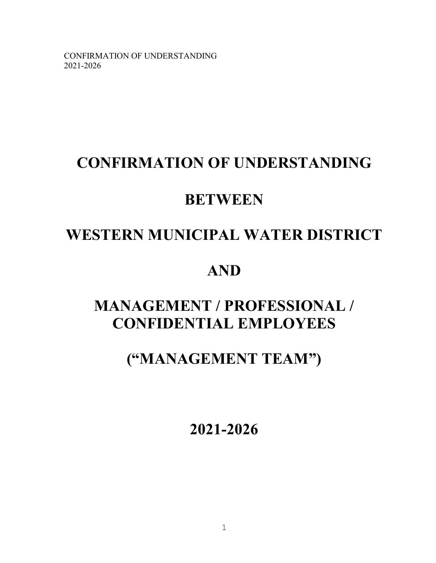# **CONFIRMATION OF UNDERSTANDING**

# **BETWEEN**

# **WESTERN MUNICIPAL WATER DISTRICT**

# **AND**

# **MANAGEMENT / PROFESSIONAL / CONFIDENTIAL EMPLOYEES**

# **("MANAGEMENT TEAM")**

**2021-2026**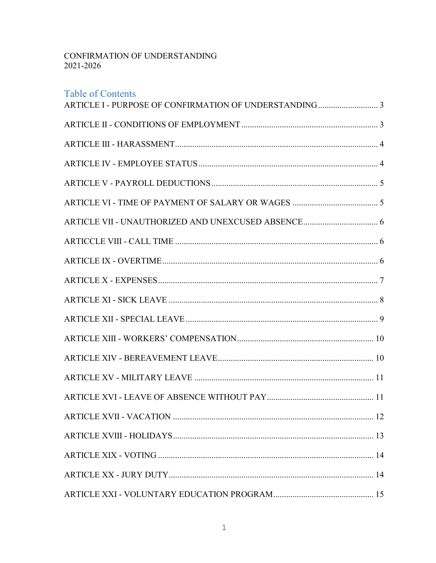# Table of Contents

| .12 |
|-----|
|     |
|     |
|     |
|     |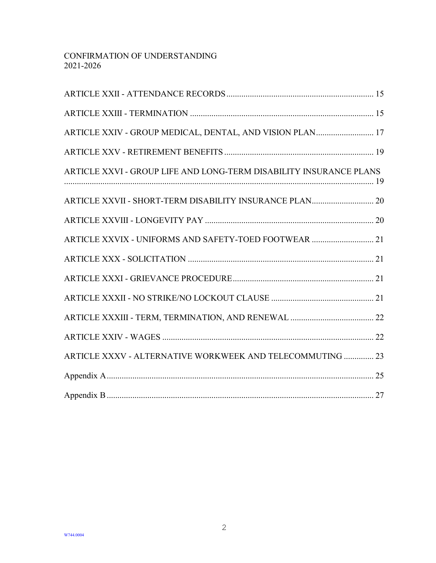| ARTICLE XXIV - GROUP MEDICAL, DENTAL, AND VISION PLAN 17           |
|--------------------------------------------------------------------|
|                                                                    |
| ARTICLE XXVI - GROUP LIFE AND LONG-TERM DISABILITY INSURANCE PLANS |
| ARTICLE XXVII - SHORT-TERM DISABILITY INSURANCE PLAN 20            |
|                                                                    |
| ARTICLE XXVIX - UNIFORMS AND SAFETY-TOED FOOTWEAR  21              |
|                                                                    |
|                                                                    |
|                                                                    |
|                                                                    |
|                                                                    |
| ARTICLE XXXV - ALTERNATIVE WORKWEEK AND TELECOMMUTING  23          |
|                                                                    |
|                                                                    |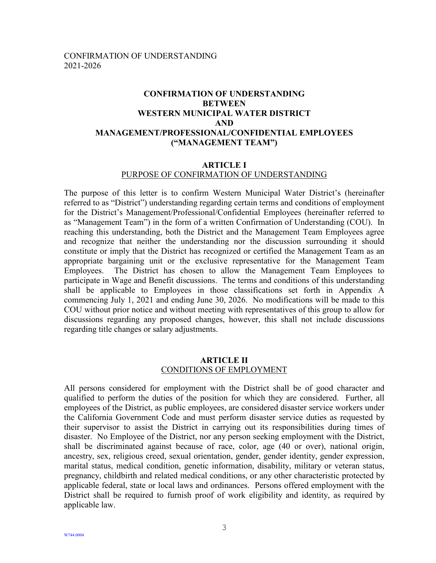## **CONFIRMATION OF UNDERSTANDING BETWEEN WESTERN MUNICIPAL WATER DISTRICT AND MANAGEMENT/PROFESSIONAL/CONFIDENTIAL EMPLOYEES ("MANAGEMENT TEAM")**

#### **ARTICLE I**

#### PURPOSE OF CONFIRMATION OF UNDERSTANDING

<span id="page-3-0"></span>The purpose of this letter is to confirm Western Municipal Water District's (hereinafter referred to as "District") understanding regarding certain terms and conditions of employment for the District's Management/Professional/Confidential Employees (hereinafter referred to as "Management Team") in the form of a written Confirmation of Understanding (COU). In reaching this understanding, both the District and the Management Team Employees agree and recognize that neither the understanding nor the discussion surrounding it should constitute or imply that the District has recognized or certified the Management Team as an appropriate bargaining unit or the exclusive representative for the Management Team Employees. The District has chosen to allow the Management Team Employees to participate in Wage and Benefit discussions. The terms and conditions of this understanding shall be applicable to Employees in those classifications set forth in Appendix A commencing July 1, 2021 and ending June 30, 2026. No modifications will be made to this COU without prior notice and without meeting with representatives of this group to allow for discussions regarding any proposed changes, however, this shall not include discussions regarding title changes or salary adjustments.

#### **ARTICLE II** CONDITIONS OF EMPLOYMENT

<span id="page-3-1"></span>All persons considered for employment with the District shall be of good character and qualified to perform the duties of the position for which they are considered. Further, all employees of the District, as public employees, are considered disaster service workers under the California Government Code and must perform disaster service duties as requested by their supervisor to assist the District in carrying out its responsibilities during times of disaster. No Employee of the District, nor any person seeking employment with the District, shall be discriminated against because of race, color, age (40 or over), national origin, ancestry, sex, religious creed, sexual orientation, gender, gender identity, gender expression, marital status, medical condition, genetic information, disability, military or veteran status, pregnancy, childbirth and related medical conditions, or any other characteristic protected by applicable federal, state or local laws and ordinances. Persons offered employment with the District shall be required to furnish proof of work eligibility and identity, as required by applicable law.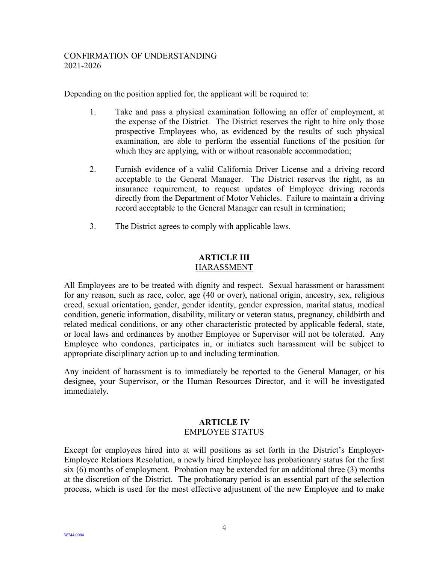Depending on the position applied for, the applicant will be required to:

- 1. Take and pass a physical examination following an offer of employment, at the expense of the District. The District reserves the right to hire only those prospective Employees who, as evidenced by the results of such physical examination, are able to perform the essential functions of the position for which they are applying, with or without reasonable accommodation;
- 2. Furnish evidence of a valid California Driver License and a driving record acceptable to the General Manager. The District reserves the right, as an insurance requirement, to request updates of Employee driving records directly from the Department of Motor Vehicles. Failure to maintain a driving record acceptable to the General Manager can result in termination;
- 3. The District agrees to comply with applicable laws.

#### **ARTICLE III** HARASSMENT

<span id="page-4-0"></span>All Employees are to be treated with dignity and respect. Sexual harassment or harassment for any reason, such as race, color, age (40 or over), national origin, ancestry, sex, religious creed, sexual orientation, gender, gender identity, gender expression, marital status, medical condition, genetic information, disability, military or veteran status, pregnancy, childbirth and related medical conditions, or any other characteristic protected by applicable federal, state, or local laws and ordinances by another Employee or Supervisor will not be tolerated. Any Employee who condones, participates in, or initiates such harassment will be subject to appropriate disciplinary action up to and including termination.

Any incident of harassment is to immediately be reported to the General Manager, or his designee, your Supervisor, or the Human Resources Director, and it will be investigated immediately.

### **ARTICLE IV** EMPLOYEE STATUS

<span id="page-4-1"></span>Except for employees hired into at will positions as set forth in the District's Employer-Employee Relations Resolution, a newly hired Employee has probationary status for the first six (6) months of employment. Probation may be extended for an additional three (3) months at the discretion of the District. The probationary period is an essential part of the selection process, which is used for the most effective adjustment of the new Employee and to make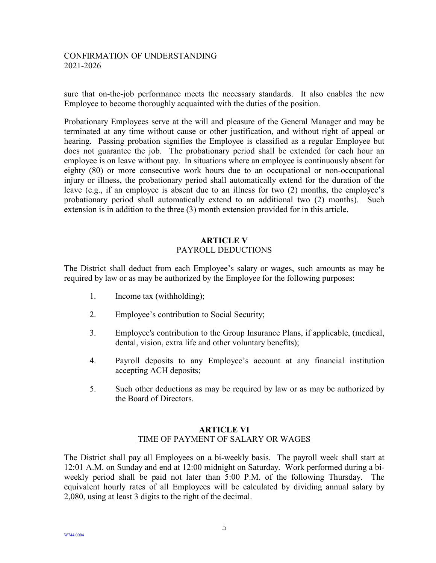sure that on-the-job performance meets the necessary standards. It also enables the new Employee to become thoroughly acquainted with the duties of the position.

Probationary Employees serve at the will and pleasure of the General Manager and may be terminated at any time without cause or other justification, and without right of appeal or hearing. Passing probation signifies the Employee is classified as a regular Employee but does not guarantee the job. The probationary period shall be extended for each hour an employee is on leave without pay. In situations where an employee is continuously absent for eighty (80) or more consecutive work hours due to an occupational or non-occupational injury or illness, the probationary period shall automatically extend for the duration of the leave (e.g., if an employee is absent due to an illness for two (2) months, the employee's probationary period shall automatically extend to an additional two (2) months). Such extension is in addition to the three (3) month extension provided for in this article.

#### **ARTICLE V** PAYROLL DEDUCTIONS

<span id="page-5-0"></span>The District shall deduct from each Employee's salary or wages, such amounts as may be required by law or as may be authorized by the Employee for the following purposes:

- 1. Income tax (withholding);
- 2. Employee's contribution to Social Security;
- 3. Employee's contribution to the Group Insurance Plans, if applicable, (medical, dental, vision, extra life and other voluntary benefits);
- 4. Payroll deposits to any Employee's account at any financial institution accepting ACH deposits;
- 5. Such other deductions as may be required by law or as may be authorized by the Board of Directors.

#### **ARTICLE VI** TIME OF PAYMENT OF SALARY OR WAGES

<span id="page-5-1"></span>The District shall pay all Employees on a bi-weekly basis. The payroll week shall start at 12:01 A.M. on Sunday and end at 12:00 midnight on Saturday. Work performed during a biweekly period shall be paid not later than 5:00 P.M. of the following Thursday. The equivalent hourly rates of all Employees will be calculated by dividing annual salary by 2,080, using at least 3 digits to the right of the decimal.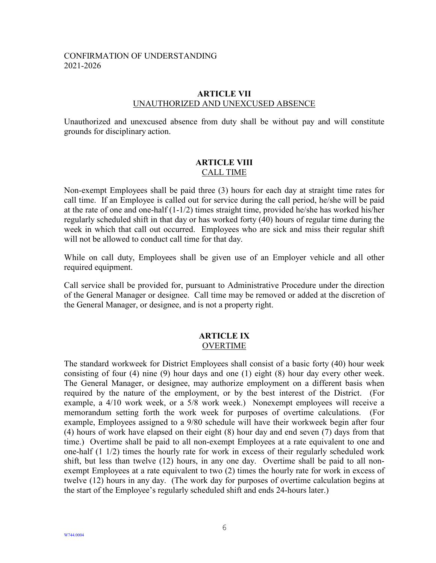#### **ARTICLE VII** UNAUTHORIZED AND UNEXCUSED ABSENCE

<span id="page-6-0"></span>Unauthorized and unexcused absence from duty shall be without pay and will constitute grounds for disciplinary action.

#### **ARTICLE VIII** CALL TIME

<span id="page-6-1"></span>Non-exempt Employees shall be paid three (3) hours for each day at straight time rates for call time. If an Employee is called out for service during the call period, he/she will be paid at the rate of one and one-half (1-1/2) times straight time, provided he/she has worked his/her regularly scheduled shift in that day or has worked forty (40) hours of regular time during the week in which that call out occurred. Employees who are sick and miss their regular shift will not be allowed to conduct call time for that day.

While on call duty, Employees shall be given use of an Employer vehicle and all other required equipment.

Call service shall be provided for, pursuant to Administrative Procedure under the direction of the General Manager or designee. Call time may be removed or added at the discretion of the General Manager, or designee, and is not a property right.

#### **ARTICLE IX** OVERTIME

<span id="page-6-2"></span>The standard workweek for District Employees shall consist of a basic forty (40) hour week consisting of four (4) nine (9) hour days and one (1) eight (8) hour day every other week. The General Manager, or designee, may authorize employment on a different basis when required by the nature of the employment, or by the best interest of the District. (For example, a 4/10 work week, or a 5/8 work week.) Nonexempt employees will receive a memorandum setting forth the work week for purposes of overtime calculations. (For example, Employees assigned to a 9/80 schedule will have their workweek begin after four (4) hours of work have elapsed on their eight (8) hour day and end seven (7) days from that time.) Overtime shall be paid to all non-exempt Employees at a rate equivalent to one and one-half (1 1/2) times the hourly rate for work in excess of their regularly scheduled work shift, but less than twelve (12) hours, in any one day. Overtime shall be paid to all nonexempt Employees at a rate equivalent to two (2) times the hourly rate for work in excess of twelve (12) hours in any day. (The work day for purposes of overtime calculation begins at the start of the Employee's regularly scheduled shift and ends 24-hours later.)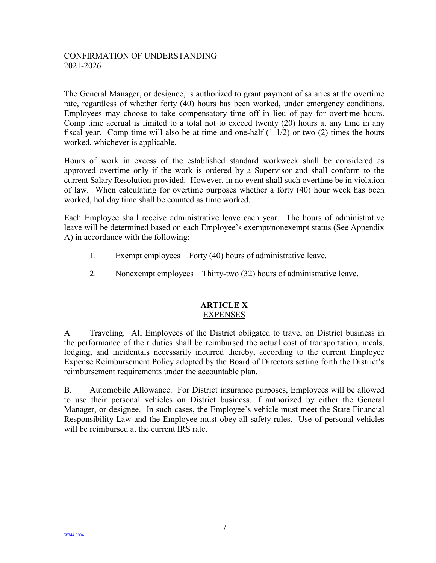The General Manager, or designee, is authorized to grant payment of salaries at the overtime rate, regardless of whether forty (40) hours has been worked, under emergency conditions. Employees may choose to take compensatory time off in lieu of pay for overtime hours. Comp time accrual is limited to a total not to exceed twenty (20) hours at any time in any fiscal year. Comp time will also be at time and one-half (1 1/2) or two (2) times the hours worked, whichever is applicable.

Hours of work in excess of the established standard workweek shall be considered as approved overtime only if the work is ordered by a Supervisor and shall conform to the current Salary Resolution provided. However, in no event shall such overtime be in violation of law. When calculating for overtime purposes whether a forty (40) hour week has been worked, holiday time shall be counted as time worked.

Each Employee shall receive administrative leave each year. The hours of administrative leave will be determined based on each Employee's exempt/nonexempt status (See Appendix A) in accordance with the following:

- 1. Exempt employees Forty (40) hours of administrative leave.
- 2. Nonexempt employees Thirty-two (32) hours of administrative leave.

#### **ARTICLE X** EXPENSES

<span id="page-7-0"></span>A Traveling. All Employees of the District obligated to travel on District business in the performance of their duties shall be reimbursed the actual cost of transportation, meals, lodging, and incidentals necessarily incurred thereby, according to the current Employee Expense Reimbursement Policy adopted by the Board of Directors setting forth the District's reimbursement requirements under the accountable plan.

B. Automobile Allowance. For District insurance purposes, Employees will be allowed to use their personal vehicles on District business, if authorized by either the General Manager, or designee. In such cases, the Employee's vehicle must meet the State Financial Responsibility Law and the Employee must obey all safety rules. Use of personal vehicles will be reimbursed at the current IRS rate.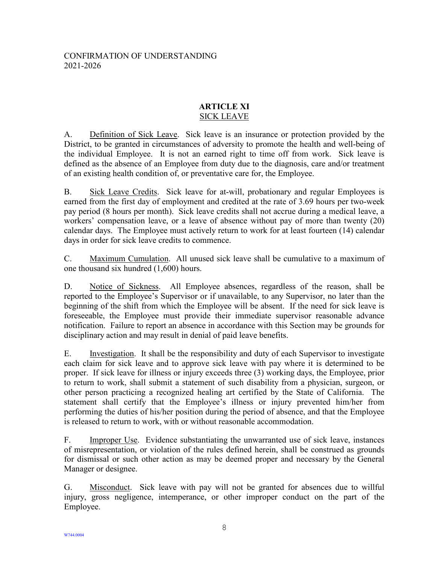#### **ARTICLE XI** SICK LEAVE

<span id="page-8-0"></span>A. Definition of Sick Leave. Sick leave is an insurance or protection provided by the District, to be granted in circumstances of adversity to promote the health and well-being of the individual Employee. It is not an earned right to time off from work. Sick leave is defined as the absence of an Employee from duty due to the diagnosis, care and/or treatment of an existing health condition of, or preventative care for, the Employee.

B. Sick Leave Credits. Sick leave for at-will, probationary and regular Employees is earned from the first day of employment and credited at the rate of 3.69 hours per two-week pay period (8 hours per month). Sick leave credits shall not accrue during a medical leave, a workers' compensation leave, or a leave of absence without pay of more than twenty (20) calendar days. The Employee must actively return to work for at least fourteen (14) calendar days in order for sick leave credits to commence.

C. Maximum Cumulation. All unused sick leave shall be cumulative to a maximum of one thousand six hundred (1,600) hours.

D. Notice of Sickness. All Employee absences, regardless of the reason, shall be reported to the Employee's Supervisor or if unavailable, to any Supervisor, no later than the beginning of the shift from which the Employee will be absent. If the need for sick leave is foreseeable, the Employee must provide their immediate supervisor reasonable advance notification. Failure to report an absence in accordance with this Section may be grounds for disciplinary action and may result in denial of paid leave benefits.

E. Investigation. It shall be the responsibility and duty of each Supervisor to investigate each claim for sick leave and to approve sick leave with pay where it is determined to be proper. If sick leave for illness or injury exceeds three (3) working days, the Employee, prior to return to work, shall submit a statement of such disability from a physician, surgeon, or other person practicing a recognized healing art certified by the State of California. The statement shall certify that the Employee's illness or injury prevented him/her from performing the duties of his/her position during the period of absence, and that the Employee is released to return to work, with or without reasonable accommodation.

F. **Improper Use.** Evidence substantiating the unwarranted use of sick leave, instances of misrepresentation, or violation of the rules defined herein, shall be construed as grounds for dismissal or such other action as may be deemed proper and necessary by the General Manager or designee.

G. Misconduct. Sick leave with pay will not be granted for absences due to willful injury, gross negligence, intemperance, or other improper conduct on the part of the Employee.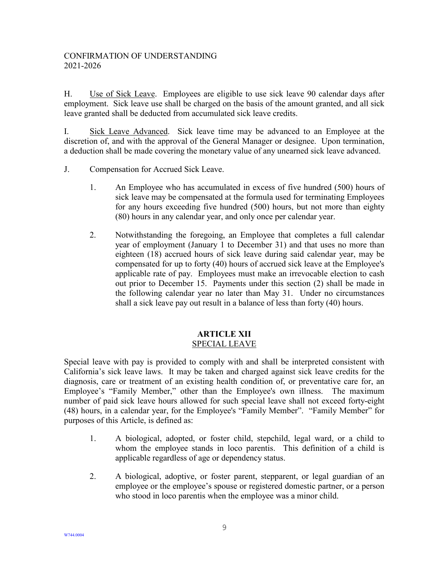H. Use of Sick Leave. Employees are eligible to use sick leave 90 calendar days after employment. Sick leave use shall be charged on the basis of the amount granted, and all sick leave granted shall be deducted from accumulated sick leave credits.

I. Sick Leave Advanced. Sick leave time may be advanced to an Employee at the discretion of, and with the approval of the General Manager or designee. Upon termination, a deduction shall be made covering the monetary value of any unearned sick leave advanced.

- J. Compensation for Accrued Sick Leave.
	- 1. An Employee who has accumulated in excess of five hundred (500) hours of sick leave may be compensated at the formula used for terminating Employees for any hours exceeding five hundred (500) hours, but not more than eighty (80) hours in any calendar year, and only once per calendar year.
	- 2. Notwithstanding the foregoing, an Employee that completes a full calendar year of employment (January 1 to December 31) and that uses no more than eighteen (18) accrued hours of sick leave during said calendar year, may be compensated for up to forty (40) hours of accrued sick leave at the Employee's applicable rate of pay. Employees must make an irrevocable election to cash out prior to December 15. Payments under this section (2) shall be made in the following calendar year no later than May 31. Under no circumstances shall a sick leave pay out result in a balance of less than forty (40) hours.

#### **ARTICLE XII** SPECIAL LEAVE

<span id="page-9-0"></span>Special leave with pay is provided to comply with and shall be interpreted consistent with California's sick leave laws. It may be taken and charged against sick leave credits for the diagnosis, care or treatment of an existing health condition of, or preventative care for, an Employee's "Family Member," other than the Employee's own illness. The maximum number of paid sick leave hours allowed for such special leave shall not exceed forty-eight (48) hours, in a calendar year, for the Employee's "Family Member". "Family Member" for purposes of this Article, is defined as:

- 1. A biological, adopted, or foster child, stepchild, legal ward, or a child to whom the employee stands in loco parentis. This definition of a child is applicable regardless of age or dependency status.
- 2. A biological, adoptive, or foster parent, stepparent, or legal guardian of an employee or the employee's spouse or registered domestic partner, or a person who stood in loco parentis when the employee was a minor child.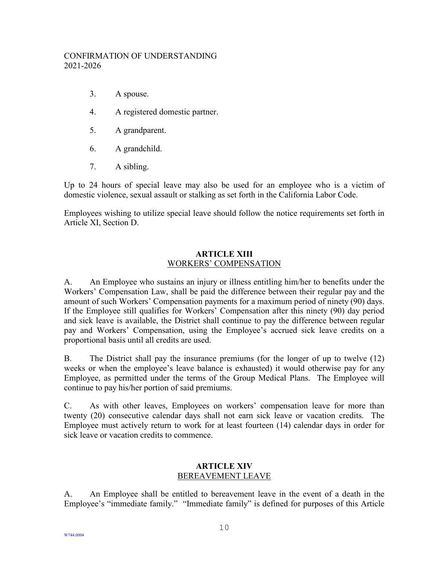- 3. A spouse.
- 4. A registered domestic partner.
- 5. A grandparent.
- 6. A grandchild.
- 7. A sibling.

Up to 24 hours of special leave may also be used for an employee who is a victim of domestic violence, sexual assault or stalking as set forth in the California Labor Code.

Employees wishing to utilize special leave should follow the notice requirements set forth in Article XI, Section D.

#### **ARTICLE XIII** WORKERS' COMPENSATION

<span id="page-10-0"></span>A. An Employee who sustains an injury or illness entitling him/her to benefits under the Workers' Compensation Law, shall be paid the difference between their regular pay and the amount of such Workers' Compensation payments for a maximum period of ninety (90) days. If the Employee still qualifies for Workers' Compensation after this ninety (90) day period and sick leave is available, the District shall continue to pay the difference between regular pay and Workers' Compensation, using the Employee's accrued sick leave credits on a proportional basis until all credits are used.

B. The District shall pay the insurance premiums (for the longer of up to twelve (12) weeks or when the employee's leave balance is exhausted) it would otherwise pay for any Employee, as permitted under the terms of the Group Medical Plans. The Employee will continue to pay his/her portion of said premiums.

C. As with other leaves, Employees on workers' compensation leave for more than twenty (20) consecutive calendar days shall not earn sick leave or vacation credits. The Employee must actively return to work for at least fourteen (14) calendar days in order for sick leave or vacation credits to commence.

#### **ARTICLE XIV** BEREAVEMENT LEAVE

<span id="page-10-1"></span>A. An Employee shall be entitled to bereavement leave in the event of a death in the Employee's "immediate family." "Immediate family" is defined for purposes of this Article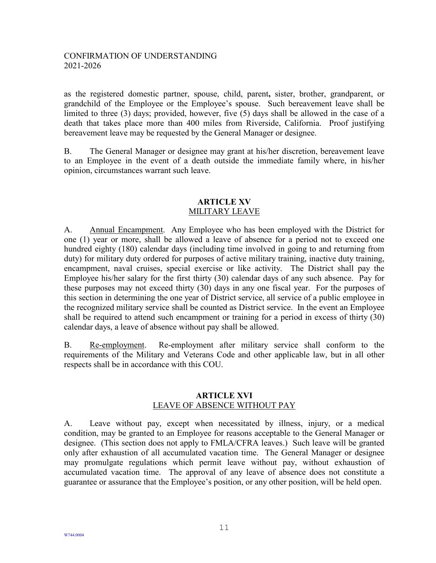as the registered domestic partner, spouse, child, parent**,** sister, brother, grandparent, or grandchild of the Employee or the Employee's spouse. Such bereavement leave shall be limited to three (3) days; provided, however, five (5) days shall be allowed in the case of a death that takes place more than 400 miles from Riverside, California. Proof justifying bereavement leave may be requested by the General Manager or designee.

B. The General Manager or designee may grant at his/her discretion, bereavement leave to an Employee in the event of a death outside the immediate family where, in his/her opinion, circumstances warrant such leave.

#### **ARTICLE XV** MILITARY LEAVE

<span id="page-11-0"></span>A. Annual Encampment. Any Employee who has been employed with the District for one (1) year or more, shall be allowed a leave of absence for a period not to exceed one hundred eighty (180) calendar days (including time involved in going to and returning from duty) for military duty ordered for purposes of active military training, inactive duty training, encampment, naval cruises, special exercise or like activity. The District shall pay the Employee his/her salary for the first thirty (30) calendar days of any such absence. Pay for these purposes may not exceed thirty (30) days in any one fiscal year. For the purposes of this section in determining the one year of District service, all service of a public employee in the recognized military service shall be counted as District service. In the event an Employee shall be required to attend such encampment or training for a period in excess of thirty (30) calendar days, a leave of absence without pay shall be allowed.

B. Re-employment. Re-employment after military service shall conform to the requirements of the Military and Veterans Code and other applicable law, but in all other respects shall be in accordance with this COU.

#### **ARTICLE XVI** LEAVE OF ABSENCE WITHOUT PAY

<span id="page-11-1"></span>A. Leave without pay, except when necessitated by illness, injury, or a medical condition, may be granted to an Employee for reasons acceptable to the General Manager or designee. (This section does not apply to FMLA/CFRA leaves.) Such leave will be granted only after exhaustion of all accumulated vacation time. The General Manager or designee may promulgate regulations which permit leave without pay, without exhaustion of accumulated vacation time. The approval of any leave of absence does not constitute a guarantee or assurance that the Employee's position, or any other position, will be held open.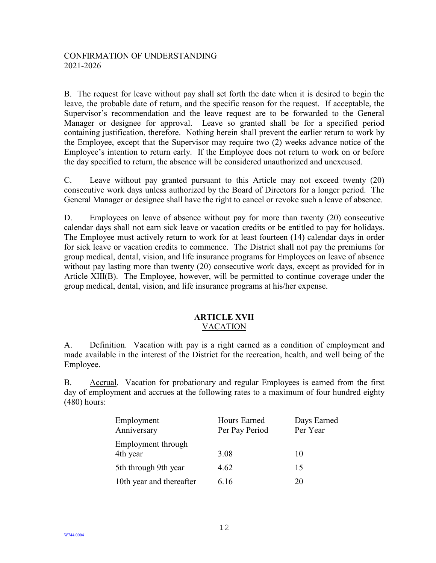B. The request for leave without pay shall set forth the date when it is desired to begin the leave, the probable date of return, and the specific reason for the request. If acceptable, the Supervisor's recommendation and the leave request are to be forwarded to the General Manager or designee for approval. Leave so granted shall be for a specified period containing justification, therefore. Nothing herein shall prevent the earlier return to work by the Employee, except that the Supervisor may require two (2) weeks advance notice of the Employee's intention to return early. If the Employee does not return to work on or before the day specified to return, the absence will be considered unauthorized and unexcused.

C. Leave without pay granted pursuant to this Article may not exceed twenty (20) consecutive work days unless authorized by the Board of Directors for a longer period. The General Manager or designee shall have the right to cancel or revoke such a leave of absence.

D. Employees on leave of absence without pay for more than twenty (20) consecutive calendar days shall not earn sick leave or vacation credits or be entitled to pay for holidays. The Employee must actively return to work for at least fourteen (14) calendar days in order for sick leave or vacation credits to commence. The District shall not pay the premiums for group medical, dental, vision, and life insurance programs for Employees on leave of absence without pay lasting more than twenty (20) consecutive work days, except as provided for in Article XIII(B). The Employee, however, will be permitted to continue coverage under the group medical, dental, vision, and life insurance programs at his/her expense.

#### **ARTICLE XVII** VACATION

<span id="page-12-0"></span>A. Definition. Vacation with pay is a right earned as a condition of employment and made available in the interest of the District for the recreation, health, and well being of the Employee.

B. Accrual. Vacation for probationary and regular Employees is earned from the first day of employment and accrues at the following rates to a maximum of four hundred eighty (480) hours:

| Employment                        | Hours Earned   | Days Earned |
|-----------------------------------|----------------|-------------|
| Anniversary<br>Employment through | Per Pay Period | Per Year    |
| 4th year                          | 3.08           | 10          |
| 5th through 9th year              | 4.62           | 15          |
| 10th year and thereafter          | 6.16           | 20          |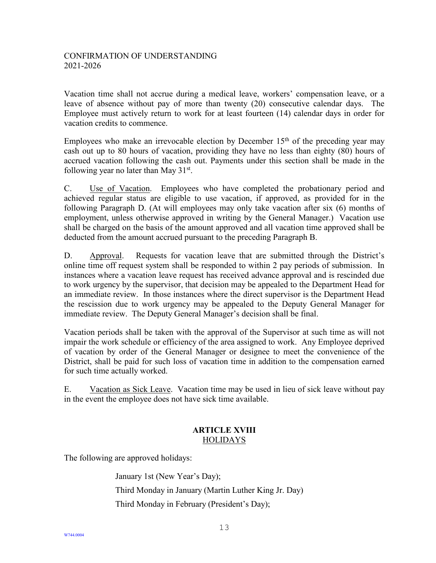Vacation time shall not accrue during a medical leave, workers' compensation leave, or a leave of absence without pay of more than twenty (20) consecutive calendar days. The Employee must actively return to work for at least fourteen (14) calendar days in order for vacation credits to commence.

Employees who make an irrevocable election by December  $15<sup>th</sup>$  of the preceding year may cash out up to 80 hours of vacation, providing they have no less than eighty (80) hours of accrued vacation following the cash out. Payments under this section shall be made in the following year no later than May  $31<sup>st</sup>$ .

C. Use of Vacation. Employees who have completed the probationary period and achieved regular status are eligible to use vacation, if approved, as provided for in the following Paragraph D. (At will employees may only take vacation after six (6) months of employment, unless otherwise approved in writing by the General Manager.) Vacation use shall be charged on the basis of the amount approved and all vacation time approved shall be deducted from the amount accrued pursuant to the preceding Paragraph B.

D. Approval. Requests for vacation leave that are submitted through the District's online time off request system shall be responded to within 2 pay periods of submission. In instances where a vacation leave request has received advance approval and is rescinded due to work urgency by the supervisor, that decision may be appealed to the Department Head for an immediate review. In those instances where the direct supervisor is the Department Head the rescission due to work urgency may be appealed to the Deputy General Manager for immediate review. The Deputy General Manager's decision shall be final.

Vacation periods shall be taken with the approval of the Supervisor at such time as will not impair the work schedule or efficiency of the area assigned to work. Any Employee deprived of vacation by order of the General Manager or designee to meet the convenience of the District, shall be paid for such loss of vacation time in addition to the compensation earned for such time actually worked.

E. Vacation as Sick Leave. Vacation time may be used in lieu of sick leave without pay in the event the employee does not have sick time available.

## **ARTICLE XVIII** HOLIDAYS

<span id="page-13-0"></span>The following are approved holidays:

January 1st (New Year's Day); Third Monday in January (Martin Luther King Jr. Day) Third Monday in February (President's Day);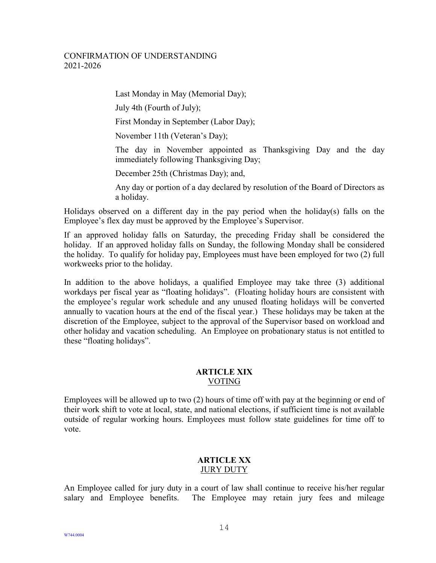Last Monday in May (Memorial Day);

July 4th (Fourth of July);

First Monday in September (Labor Day);

November 11th (Veteran's Day);

The day in November appointed as Thanksgiving Day and the day immediately following Thanksgiving Day;

December 25th (Christmas Day); and,

Any day or portion of a day declared by resolution of the Board of Directors as a holiday.

Holidays observed on a different day in the pay period when the holiday(s) falls on the Employee's flex day must be approved by the Employee's Supervisor.

If an approved holiday falls on Saturday, the preceding Friday shall be considered the holiday. If an approved holiday falls on Sunday, the following Monday shall be considered the holiday. To qualify for holiday pay, Employees must have been employed for two (2) full workweeks prior to the holiday.

In addition to the above holidays, a qualified Employee may take three (3) additional workdays per fiscal year as "floating holidays". (Floating holiday hours are consistent with the employee's regular work schedule and any unused floating holidays will be converted annually to vacation hours at the end of the fiscal year.) These holidays may be taken at the discretion of the Employee, subject to the approval of the Supervisor based on workload and other holiday and vacation scheduling. An Employee on probationary status is not entitled to these "floating holidays".

#### **ARTICLE XIX** VOTING

<span id="page-14-0"></span>Employees will be allowed up to two (2) hours of time off with pay at the beginning or end of their work shift to vote at local, state, and national elections, if sufficient time is not available outside of regular working hours. Employees must follow state guidelines for time off to vote.

### **ARTICLE XX** JURY DUTY

<span id="page-14-1"></span>An Employee called for jury duty in a court of law shall continue to receive his/her regular salary and Employee benefits. The Employee may retain jury fees and mileage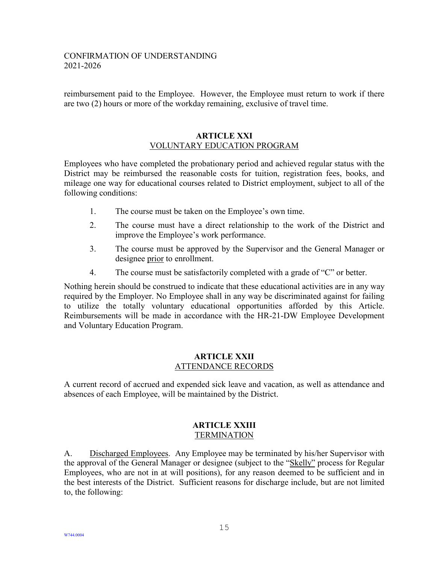reimbursement paid to the Employee. However, the Employee must return to work if there are two (2) hours or more of the workday remaining, exclusive of travel time.

#### **ARTICLE XXI** VOLUNTARY EDUCATION PROGRAM

<span id="page-15-0"></span>Employees who have completed the probationary period and achieved regular status with the District may be reimbursed the reasonable costs for tuition, registration fees, books, and mileage one way for educational courses related to District employment, subject to all of the following conditions:

- 1. The course must be taken on the Employee's own time.
- 2. The course must have a direct relationship to the work of the District and improve the Employee's work performance.
- 3. The course must be approved by the Supervisor and the General Manager or designee prior to enrollment.
- 4. The course must be satisfactorily completed with a grade of "C" or better.

Nothing herein should be construed to indicate that these educational activities are in any way required by the Employer. No Employee shall in any way be discriminated against for failing to utilize the totally voluntary educational opportunities afforded by this Article. Reimbursements will be made in accordance with the HR-21-DW Employee Development and Voluntary Education Program.

#### **ARTICLE XXII** ATTENDANCE RECORDS

<span id="page-15-1"></span>A current record of accrued and expended sick leave and vacation, as well as attendance and absences of each Employee, will be maintained by the District.

#### **ARTICLE XXIII TERMINATION**

<span id="page-15-2"></span>A. Discharged Employees. Any Employee may be terminated by his/her Supervisor with the approval of the General Manager or designee (subject to the "Skelly" process for Regular Employees, who are not in at will positions), for any reason deemed to be sufficient and in the best interests of the District. Sufficient reasons for discharge include, but are not limited to, the following: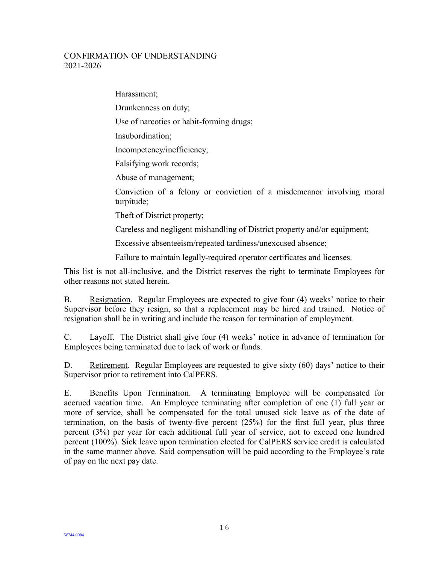Harassment; Drunkenness on duty; Use of narcotics or habit-forming drugs; Insubordination; Incompetency/inefficiency; Falsifying work records; Abuse of management;

Conviction of a felony or conviction of a misdemeanor involving moral turpitude;

Theft of District property;

Careless and negligent mishandling of District property and/or equipment;

Excessive absenteeism/repeated tardiness/unexcused absence;

Failure to maintain legally-required operator certificates and licenses.

This list is not all-inclusive, and the District reserves the right to terminate Employees for other reasons not stated herein.

B. Resignation. Regular Employees are expected to give four (4) weeks' notice to their Supervisor before they resign, so that a replacement may be hired and trained. Notice of resignation shall be in writing and include the reason for termination of employment.

C. Layoff. The District shall give four (4) weeks' notice in advance of termination for Employees being terminated due to lack of work or funds.

D. Retirement. Regular Employees are requested to give sixty (60) days' notice to their Supervisor prior to retirement into CalPERS.

E. Benefits Upon Termination. A terminating Employee will be compensated for accrued vacation time. An Employee terminating after completion of one (1) full year or more of service, shall be compensated for the total unused sick leave as of the date of termination, on the basis of twenty-five percent (25%) for the first full year, plus three percent (3%) per year for each additional full year of service, not to exceed one hundred percent (100%). Sick leave upon termination elected for CalPERS service credit is calculated in the same manner above. Said compensation will be paid according to the Employee's rate of pay on the next pay date.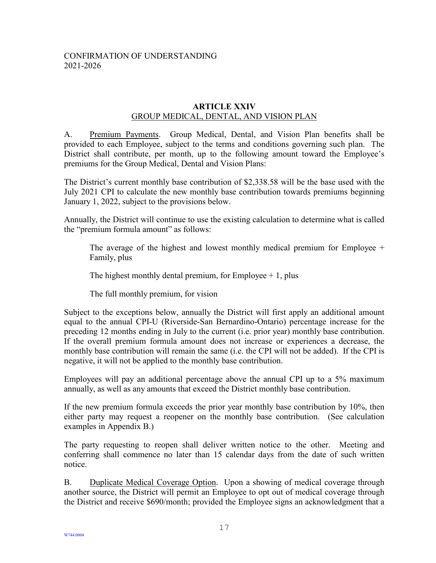#### **ARTICLE XXIV** GROUP MEDICAL, DENTAL, AND VISION PLAN

<span id="page-17-0"></span>A. Premium Payments. Group Medical, Dental, and Vision Plan benefits shall be provided to each Employee, subject to the terms and conditions governing such plan. The District shall contribute, per month, up to the following amount toward the Employee's premiums for the Group Medical, Dental and Vision Plans:

The District's current monthly base contribution of \$2,338.58 will be the base used with the July 2021 CPI to calculate the new monthly base contribution towards premiums beginning January 1, 2022, subject to the provisions below.

Annually, the District will continue to use the existing calculation to determine what is called the "premium formula amount" as follows:

The average of the highest and lowest monthly medical premium for Employee  $+$ Family, plus

The highest monthly dental premium, for Employee  $+1$ , plus

The full monthly premium, for vision

Subject to the exceptions below, annually the District will first apply an additional amount equal to the annual CPI-U (Riverside-San Bernardino-Ontario) percentage increase for the preceding 12 months ending in July to the current (i.e. prior year) monthly base contribution. If the overall premium formula amount does not increase or experiences a decrease, the monthly base contribution will remain the same (i.e. the CPI will not be added). If the CPI is negative, it will not be applied to the monthly base contribution.

Employees will pay an additional percentage above the annual CPI up to a 5% maximum annually, as well as any amounts that exceed the District monthly base contribution.

If the new premium formula exceeds the prior year monthly base contribution by 10%, then either party may request a reopener on the monthly base contribution. (See calculation examples in Appendix B.)

The party requesting to reopen shall deliver written notice to the other. Meeting and conferring shall commence no later than 15 calendar days from the date of such written notice.

B. Duplicate Medical Coverage Option. Upon a showing of medical coverage through another source, the District will permit an Employee to opt out of medical coverage through the District and receive \$690/month; provided the Employee signs an acknowledgment that a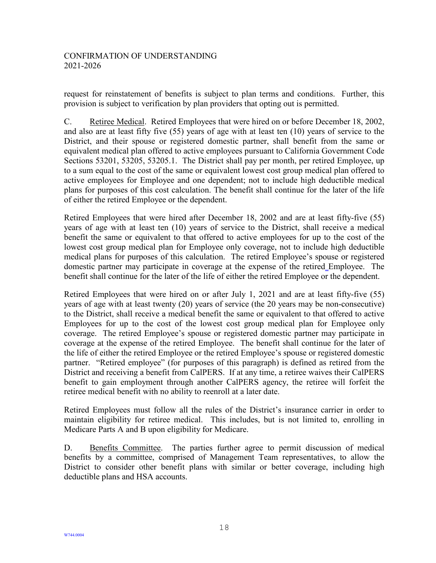request for reinstatement of benefits is subject to plan terms and conditions. Further, this provision is subject to verification by plan providers that opting out is permitted.

C. Retiree Medical. Retired Employees that were hired on or before December 18, 2002, and also are at least fifty five (55) years of age with at least ten (10) years of service to the District, and their spouse or registered domestic partner, shall benefit from the same or equivalent medical plan offered to active employees pursuant to California Government Code Sections 53201, 53205, 53205.1. The District shall pay per month, per retired Employee, up to a sum equal to the cost of the same or equivalent lowest cost group medical plan offered to active employees for Employee and one dependent; not to include high deductible medical plans for purposes of this cost calculation. The benefit shall continue for the later of the life of either the retired Employee or the dependent.

Retired Employees that were hired after December 18, 2002 and are at least fifty-five (55) years of age with at least ten (10) years of service to the District, shall receive a medical benefit the same or equivalent to that offered to active employees for up to the cost of the lowest cost group medical plan for Employee only coverage, not to include high deductible medical plans for purposes of this calculation. The retired Employee's spouse or registered domestic partner may participate in coverage at the expense of the retired Employee. The benefit shall continue for the later of the life of either the retired Employee or the dependent.

Retired Employees that were hired on or after July 1, 2021 and are at least fifty-five (55) years of age with at least twenty (20) years of service (the 20 years may be non-consecutive) to the District, shall receive a medical benefit the same or equivalent to that offered to active Employees for up to the cost of the lowest cost group medical plan for Employee only coverage. The retired Employee's spouse or registered domestic partner may participate in coverage at the expense of the retired Employee. The benefit shall continue for the later of the life of either the retired Employee or the retired Employee's spouse or registered domestic partner. "Retired employee" (for purposes of this paragraph) is defined as retired from the District and receiving a benefit from CalPERS. If at any time, a retiree waives their CalPERS benefit to gain employment through another CalPERS agency, the retiree will forfeit the retiree medical benefit with no ability to reenroll at a later date.

Retired Employees must follow all the rules of the District's insurance carrier in order to maintain eligibility for retiree medical. This includes, but is not limited to, enrolling in Medicare Parts A and B upon eligibility for Medicare.

D. Benefits Committee. The parties further agree to permit discussion of medical benefits by a committee, comprised of Management Team representatives, to allow the District to consider other benefit plans with similar or better coverage, including high deductible plans and HSA accounts.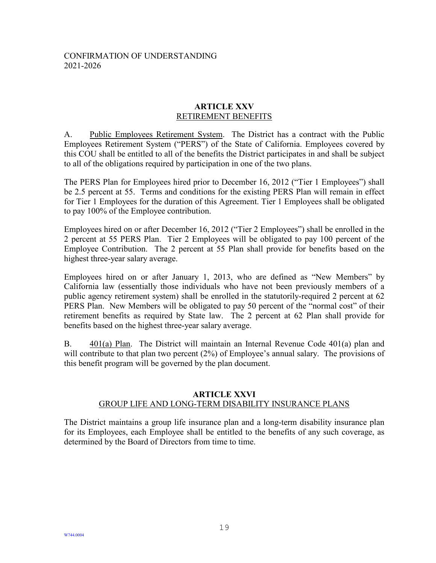#### **ARTICLE XXV** RETIREMENT BENEFITS

<span id="page-19-0"></span>A. Public Employees Retirement System. The District has a contract with the Public Employees Retirement System ("PERS") of the State of California. Employees covered by this COU shall be entitled to all of the benefits the District participates in and shall be subject to all of the obligations required by participation in one of the two plans.

The PERS Plan for Employees hired prior to December 16, 2012 ("Tier 1 Employees") shall be 2.5 percent at 55. Terms and conditions for the existing PERS Plan will remain in effect for Tier 1 Employees for the duration of this Agreement. Tier 1 Employees shall be obligated to pay 100% of the Employee contribution.

Employees hired on or after December 16, 2012 ("Tier 2 Employees") shall be enrolled in the 2 percent at 55 PERS Plan. Tier 2 Employees will be obligated to pay 100 percent of the Employee Contribution. The 2 percent at 55 Plan shall provide for benefits based on the highest three-year salary average.

Employees hired on or after January 1, 2013, who are defined as "New Members" by California law (essentially those individuals who have not been previously members of a public agency retirement system) shall be enrolled in the statutorily-required 2 percent at 62 PERS Plan. New Members will be obligated to pay 50 percent of the "normal cost" of their retirement benefits as required by State law. The 2 percent at 62 Plan shall provide for benefits based on the highest three-year salary average.

B. 401(a) Plan. The District will maintain an Internal Revenue Code 401(a) plan and will contribute to that plan two percent (2%) of Employee's annual salary. The provisions of this benefit program will be governed by the plan document.

#### **ARTICLE XXVI** GROUP LIFE AND LONG-TERM DISABILITY INSURANCE PLANS

<span id="page-19-1"></span>The District maintains a group life insurance plan and a long-term disability insurance plan for its Employees, each Employee shall be entitled to the benefits of any such coverage, as determined by the Board of Directors from time to time.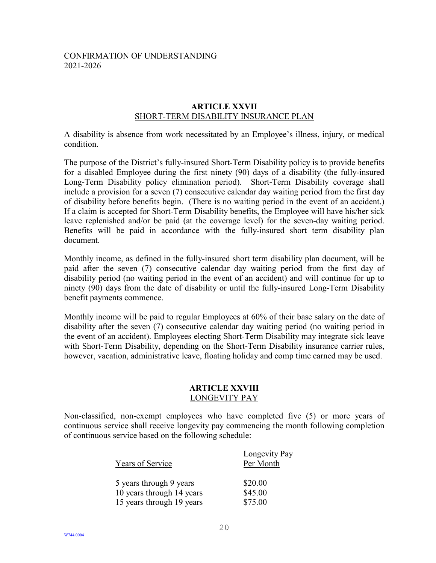#### **ARTICLE XXVII** SHORT-TERM DISABILITY INSURANCE PLAN

<span id="page-20-0"></span>A disability is absence from work necessitated by an Employee's illness, injury, or medical condition.

The purpose of the District's fully-insured Short-Term Disability policy is to provide benefits for a disabled Employee during the first ninety (90) days of a disability (the fully-insured Long-Term Disability policy elimination period). Short-Term Disability coverage shall include a provision for a seven (7) consecutive calendar day waiting period from the first day of disability before benefits begin. (There is no waiting period in the event of an accident.) If a claim is accepted for Short-Term Disability benefits, the Employee will have his/her sick leave replenished and/or be paid (at the coverage level) for the seven-day waiting period. Benefits will be paid in accordance with the fully-insured short term disability plan document.

Monthly income, as defined in the fully-insured short term disability plan document, will be paid after the seven (7) consecutive calendar day waiting period from the first day of disability period (no waiting period in the event of an accident) and will continue for up to ninety (90) days from the date of disability or until the fully-insured Long-Term Disability benefit payments commence.

Monthly income will be paid to regular Employees at 60% of their base salary on the date of disability after the seven (7) consecutive calendar day waiting period (no waiting period in the event of an accident). Employees electing Short-Term Disability may integrate sick leave with Short-Term Disability, depending on the Short-Term Disability insurance carrier rules, however, vacation, administrative leave, floating holiday and comp time earned may be used.

#### **ARTICLE XXVIII** LONGEVITY PAY

<span id="page-20-1"></span>Non-classified, non-exempt employees who have completed five (5) or more years of continuous service shall receive longevity pay commencing the month following completion of continuous service based on the following schedule:

| Years of Service          | Longevity Pay<br>Per Month |
|---------------------------|----------------------------|
| 5 years through 9 years   | \$20.00                    |
| 10 years through 14 years | \$45.00                    |
| 15 years through 19 years | \$75.00                    |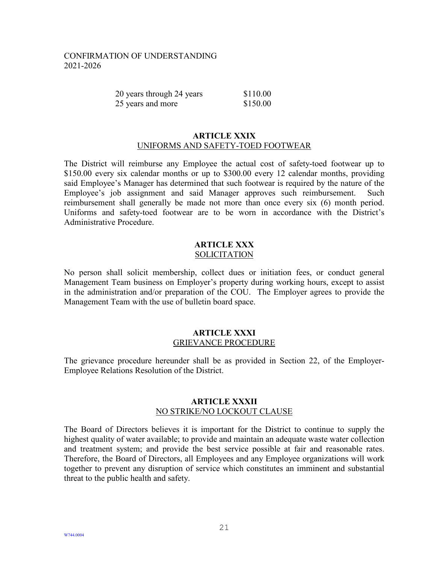| 20 years through 24 years | \$110.00 |
|---------------------------|----------|
| 25 years and more         | \$150.00 |

#### **ARTICLE XXIX** UNIFORMS AND SAFETY-TOED FOOTWEAR

<span id="page-21-0"></span>The District will reimburse any Employee the actual cost of safety-toed footwear up to \$150.00 every six calendar months or up to \$300.00 every 12 calendar months, providing said Employee's Manager has determined that such footwear is required by the nature of the Employee's job assignment and said Manager approves such reimbursement. Such reimbursement shall generally be made not more than once every six (6) month period. Uniforms and safety-toed footwear are to be worn in accordance with the District's Administrative Procedure.

#### **ARTICLE XXX** SOLICITATION

<span id="page-21-1"></span>No person shall solicit membership, collect dues or initiation fees, or conduct general Management Team business on Employer's property during working hours, except to assist in the administration and/or preparation of the COU. The Employer agrees to provide the Management Team with the use of bulletin board space.

#### **ARTICLE XXXI** GRIEVANCE PROCEDURE

<span id="page-21-2"></span>The grievance procedure hereunder shall be as provided in Section 22, of the Employer-Employee Relations Resolution of the District.

#### **ARTICLE XXXII** NO STRIKE/NO LOCKOUT CLAUSE

<span id="page-21-3"></span>The Board of Directors believes it is important for the District to continue to supply the highest quality of water available; to provide and maintain an adequate waste water collection and treatment system; and provide the best service possible at fair and reasonable rates. Therefore, the Board of Directors, all Employees and any Employee organizations will work together to prevent any disruption of service which constitutes an imminent and substantial threat to the public health and safety.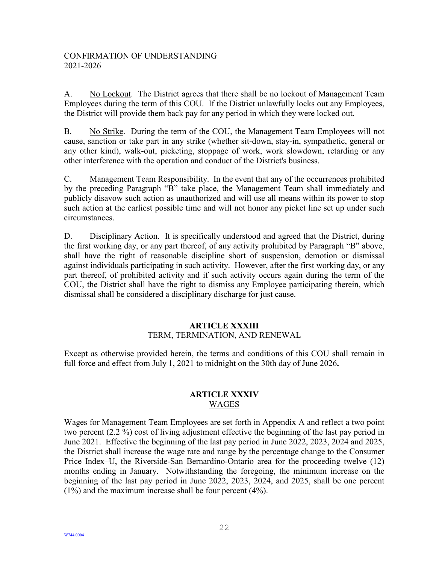A. No Lockout. The District agrees that there shall be no lockout of Management Team Employees during the term of this COU. If the District unlawfully locks out any Employees, the District will provide them back pay for any period in which they were locked out.

B. No Strike. During the term of the COU, the Management Team Employees will not cause, sanction or take part in any strike (whether sit-down, stay-in, sympathetic, general or any other kind), walk-out, picketing, stoppage of work, work slowdown, retarding or any other interference with the operation and conduct of the District's business.

C. Management Team Responsibility. In the event that any of the occurrences prohibited by the preceding Paragraph "B" take place, the Management Team shall immediately and publicly disavow such action as unauthorized and will use all means within its power to stop such action at the earliest possible time and will not honor any picket line set up under such circumstances.

D. Disciplinary Action. It is specifically understood and agreed that the District, during the first working day, or any part thereof, of any activity prohibited by Paragraph "B" above, shall have the right of reasonable discipline short of suspension, demotion or dismissal against individuals participating in such activity. However, after the first working day, or any part thereof, of prohibited activity and if such activity occurs again during the term of the COU, the District shall have the right to dismiss any Employee participating therein, which dismissal shall be considered a disciplinary discharge for just cause.

#### **ARTICLE XXXIII** TERM, TERMINATION, AND RENEWAL

<span id="page-22-0"></span>Except as otherwise provided herein, the terms and conditions of this COU shall remain in full force and effect from July 1, 2021 to midnight on the 30th day of June 2026**.**

## **ARTICLE XXXIV** WAGES

<span id="page-22-1"></span>Wages for Management Team Employees are set forth in Appendix A and reflect a two point two percent (2.2 %) cost of living adjustment effective the beginning of the last pay period in June 2021. Effective the beginning of the last pay period in June 2022, 2023, 2024 and 2025, the District shall increase the wage rate and range by the percentage change to the Consumer Price Index–U, the Riverside-San Bernardino-Ontario area for the proceeding twelve (12) months ending in January. Notwithstanding the foregoing, the minimum increase on the beginning of the last pay period in June 2022, 2023, 2024, and 2025, shall be one percent (1%) and the maximum increase shall be four percent (4%).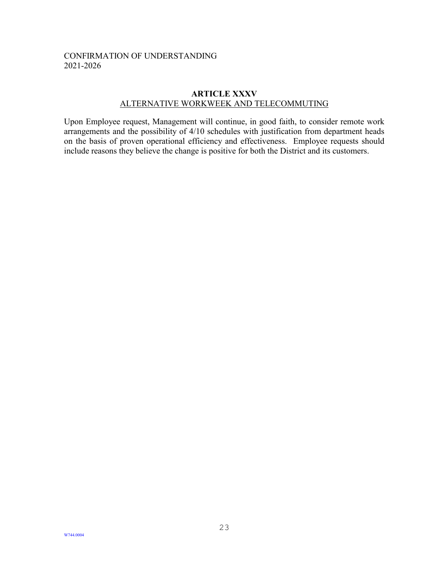#### **ARTICLE XXXV** ALTERNATIVE WORKWEEK AND TELECOMMUTING

<span id="page-23-0"></span>Upon Employee request, Management will continue, in good faith, to consider remote work arrangements and the possibility of 4/10 schedules with justification from department heads on the basis of proven operational efficiency and effectiveness. Employee requests should include reasons they believe the change is positive for both the District and its customers.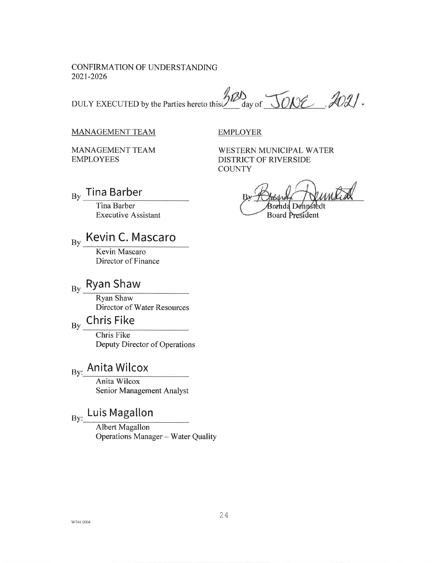DULY EXECUTED by the Parties hereto this 22 day of JONE 2021.

#### **MANAGEMENT TEAM**

**EMPLOYER** 

**MANAGEMENT TEAM EMPLOYEES** 

**Tina Barber** 

 $\overline{B}v$ 

WESTERN MUNICIPAL WATER DISTRICT OF RIVERSIDE **COUNTY** 

**Board President** 

Tina Barber **Executive Assistant** 

#### Kevin C. Mascaro  $\overline{B}v$

Kevin Mascaro Director of Finance

# $_{\rm By}$  Ryan Shaw

**Ryan Shaw** Director of Water Resources

#### **Chris Fike**  $By$

Chris Fike Deputy Director of Operations

# By: Anita Wilcox

Anita Wilcox Senior Management Analyst

# By: Luis Magallon

Albert Magallon Operations Manager - Water Quality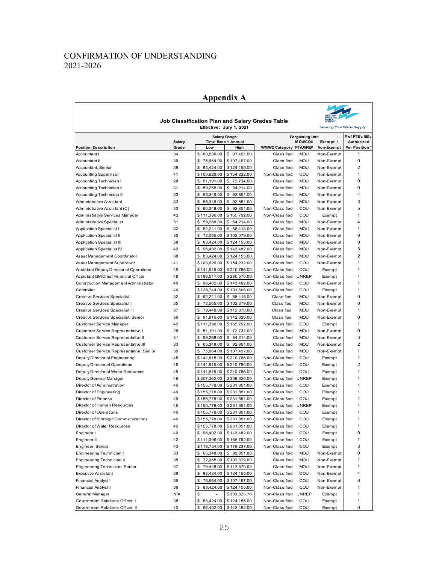## **Appendix A**



| <b>MUNICIPAL</b><br>WATER<br>DISTRICT<br><b>Job Classification Plan and Salary Grades Table</b> |               |                                           |                        |                                          |                                   |                               |
|-------------------------------------------------------------------------------------------------|---------------|-------------------------------------------|------------------------|------------------------------------------|-----------------------------------|-------------------------------|
|                                                                                                 |               | Effective: July 1, 2021                   |                        |                                          | <b>Securing Your Water Supply</b> |                               |
|                                                                                                 | <b>Salary</b> | <b>Salary Range</b><br>Time Base = Annual |                        | <b>Bargaining Unit</b><br><b>MOU/COU</b> | Exempt /                          | # of FTE's EE's<br>Authorized |
| <b>Position Description</b>                                                                     | Grade         | Low<br>High                               | WMWD Category PT/UNREP |                                          | Non-Exempt                        | Per Position *                |
| Accountant I                                                                                    | 34            | \$<br>68,630.00<br>\$97,491.00            | Classified             | <b>MOU</b>                               | Non-Exempt                        | 1                             |
| <b>Accountant II</b>                                                                            | 36            | \$<br>75,664.00<br>\$107,497.00           | Classified             | <b>MOU</b>                               | Non-Exempt                        | 0                             |
| Accountant, Senior                                                                              | 38            | 83,424.00<br>\$<br>\$124,155.00           | Classified             | <b>MOU</b>                               | Non-Exempt                        | $\overline{2}$                |
| <b>Accounting Supervisor</b>                                                                    | 41            | \$103,629.00<br>\$154,232.00              | Non-Classified         | COU                                      | Non-Exempt                        | 1                             |
| Accounting Technician I                                                                         | 28            | \$51,191.00<br>\$72,734.00                | Classified             | <b>MOU</b>                               | Non-Exempt                        | 0                             |
| Accounting Technician II                                                                        | 31            | 59,268.00<br>\$<br>\$84,214.00            | Classified             | <b>MOU</b>                               | Non-Exempt                        | 0                             |
| Accounting Technician III                                                                       | 33            | \$<br>65,348.00<br>\$92,851.00            | Classified             | <b>MOU</b>                               | Non-Exempt                        | 4                             |
| Administrative Assistant                                                                        | 33            | 65,348.00<br>\$<br>\$92,851.00            | Classified             | <b>MOU</b>                               | Non-Exempt                        | 3                             |
| Administrative Assistant (C)                                                                    | 33            | 65,348.00<br>\$92,851.00<br>\$            | Non-Classified         | COU                                      | Non-Exempt                        | 5                             |
| Administrative Services Manager                                                                 | 42            | \$111,396.00<br>\$165,792.00              | Non-Classified         | COU                                      | Exempt                            | 1                             |
| Administrative Specialist                                                                       | 31            | \$<br>59,268.00<br>\$84,214.00            | Classified             | <b>MOU</b>                               | Non-Exempt                        | 4                             |
| <b>Application Specialist I</b>                                                                 | 32            | \$<br>62,241.00<br>\$ 88,418.00           | Classified             | <b>MOU</b>                               | Non-Exempt                        | 1                             |
| Application Specialist II                                                                       | 35            | 72,065.00<br>\$<br>\$102,379.00           | Classified             | <b>MOU</b>                               | Non-Exempt                        | 0                             |
| Application Specialist III                                                                      | 38            | \$<br>83,424.00<br>\$124,155.00           | Classified             | <b>MOU</b>                               | Non-Exempt                        | 0                             |
| Application Specialist IV                                                                       | 40            | \$<br>96,402.00<br>\$143,482.00           | Classified             | <b>MOU</b>                               | Non-Exempt                        | 3                             |
| Asset Management Coordinator                                                                    | 38            | \$83,424.00<br>\$124,155.00               | Classified             | <b>MOU</b>                               | Non-Exempt                        | 2                             |
| Asset Management Supervisor                                                                     | 41            | \$103,629.00<br>\$154,232.00              | Non-Classified         | COU                                      | Non-Exempt                        | $\mathbf{1}$                  |
| Assistant Deputy Director of Operations                                                         | 45            | \$141,615.00<br>\$210,766.00              | Non-Classified         | COU                                      | Exempt                            | 1                             |
| Assistant GM/Chief Financial Officer                                                            | 48            | \$188,511.00<br>\$280,570.00              | Non-Classified         | <b>UNREP</b>                             | Exempt                            | 1                             |
| Construction Management Administrator                                                           | 40            | \$96,402.00<br>\$143,482.00               | Non-Classified         | COU                                      | Non-Exempt                        | 1                             |
| Controller                                                                                      | 44            | \$128,744.00<br>\$191,606.00              | Non-Classified         | COU                                      | Exempt                            | 1                             |
| Creative Services Specialist I                                                                  | 32            | \$62,241.00<br>\$ 88,418.00               | Classified             | <b>MOU</b>                               | Non-Exempt                        | 0                             |
| Creative Services Specialist II                                                                 | 35            | 72,065.00<br>\$<br>\$102,379.00           | Classified             | <b>MOU</b>                               | Non-Exempt                        | 0                             |
| Creative Services Specialist III                                                                | 37            | \$<br>79,448.00<br>\$112,870.00           | Classified             | <b>MOU</b>                               | Non-Exempt                        | 1                             |
| Creative Services Specialist, Senior                                                            | 39            | \$91,916.00<br>\$142,320.00               | Classified             | <b>MOU</b>                               | Non-Exempt                        | 0                             |
| Customer Service Manager                                                                        | 42            | \$111,396.00<br>\$165,792.00              | Non-Classified         | COU                                      | Exempt                            | 1                             |
| Customer Service Representative I                                                               | 28            | \$51,191.00<br>\$72,734.00                | Classified             | <b>MOU</b>                               | Non-Exempt                        | 0                             |
| Customer Service Representative II                                                              | 31            | \$<br>59,268.00<br>\$84,214.00            | Classified             | <b>MOU</b>                               | Non-Exempt                        | 3                             |
| Customer Service Representative III                                                             | 33            | \$<br>65,348.00<br>\$92,851.00            | Classified             | <b>MOU</b>                               | Non-Exempt                        | $\overline{2}$                |
| Customer Service Representative, Senior                                                         | 36            | \$75,664.00<br>\$107,497.00               | Classified             | <b>MOU</b>                               | Non-Exempt                        | $\mathbf{1}$                  |
| Deputy Director of Engineering                                                                  | 45            | \$141,615.00<br>\$210,766.00              | Non-Classified         | COU                                      | Exempt                            | 1                             |
| Deputy Director of Operations                                                                   | 45            | \$141,615.00<br>\$210,766.00              | Non-Classified         | COU                                      | Exempt                            | $\overline{2}$                |
| Deputy Director of Water Resources                                                              | 45            | \$141,615.00<br>\$210,766.00              | Non-Classified         | COU                                      | Exempt                            | 1                             |
| Deputy General Manager                                                                          | 49            | \$207,362.00<br>\$308,626.00              | Non-Classified         | <b>UNREP</b>                             | Exempt                            | 1                             |
| Director of Administration                                                                      | 46            | \$155,778.00<br>\$231,851.00              | Non-Classified         | COU                                      | Exempt                            | 1                             |
| Director of Engineering                                                                         | 46            | \$155,778.00<br>\$231,851.00              | Non-Classified         | COU                                      | Exempt                            | 1                             |
| Director of Finance                                                                             | 46            | \$155,778.00<br>\$231,851.00              | Non-Classified         | COU                                      | Exempt                            | 1                             |
| Director of Human Resources                                                                     | 46            | \$155,778.00<br>\$231,851.00              | Non-Classified         | <b>UNREP</b>                             | Exempt                            | 1                             |
| Director of Operations                                                                          | 46            | \$155,778.00<br>\$231,851.00              | Non-Classified         | COU                                      | Exempt                            | 1                             |
| Director of Strategic Communications                                                            | 46            | \$155,778.00<br>\$231,851.00              | Non-Classified         | COU                                      | Exempt                            | 1                             |
| Director of Water Resources                                                                     | 46            | \$155,778.00<br>\$231,851.00              | Non-Classified         | COU                                      | Exempt                            | 1                             |
| Engineer I                                                                                      | 40            | \$96,402.00<br>\$143,482.00               | Non-Classified         | COU                                      | Exempt                            | 0                             |
| Engineer II                                                                                     | 42            | \$111,396.00<br>\$165,792.00              | Non-Classified         | COU                                      | Exempt                            | 1                             |
| Engineer, Senior                                                                                | 43            | \$119,754.00<br>\$178,237.00              | Non-Classified         | COU                                      | Exempt                            | 3                             |
| Engineering Technician I                                                                        | 33            | \$ 65,348.00<br>\$92,851.00               | Classified             | <b>MOU</b>                               | Non-Exempt                        | 0                             |
| Engineering Technician II                                                                       | 35            | \$72,065.00<br>\$102,379.00               | Classified             | <b>MOU</b>                               | Non-Exempt                        | 1                             |
| Engineering Technician, Senior                                                                  | 37            | \$79,448.00<br>\$112,870.00               | Classified             | <b>MOU</b>                               | Non-Exempt                        | 1                             |
| <b>Executive Assistant</b>                                                                      | 38            | 83,424.00<br>\$124,155.00<br>\$           | Non-Classified         | COU                                      | Non-Exempt                        | 4                             |
| Financial Analyst I                                                                             | 36            | \$75,664.00<br>\$107,497.00               | Non-Classified         | COU                                      | Non-Exempt                        | 0                             |
| Financial Analyst II                                                                            | 38            | \$<br>83,424.00<br>\$124,155.00           | Non-Classified         | COU                                      | Non-Exempt                        | 1                             |
| General Manager                                                                                 | N/A           | \$<br>\$303,825.76                        | Non-Classified         | <b>UNREP</b>                             | Exempt                            | 1                             |
| Government Relations Officer I                                                                  | 38            | \$ 83,424.00<br>\$124,155.00              | Non-Classified         | COU                                      | Exempt                            | 1                             |
| Government Relations Officer II                                                                 | 40            | \$96,402.00<br>\$143,482.00               | Non-Classified         | COU                                      | Exempt                            | 0                             |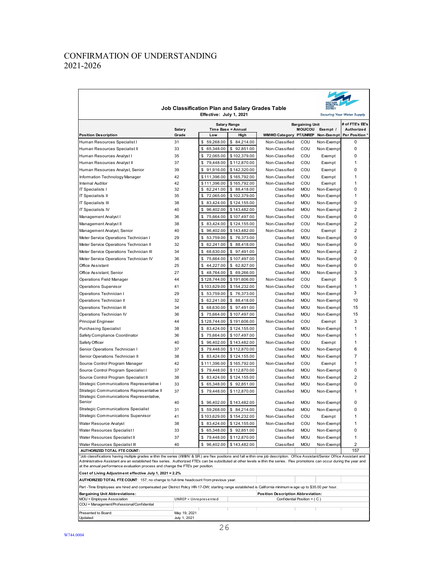| VESTERN<br>MUNICIPAL<br><b>WATER</b> |                              |
|--------------------------------------|------------------------------|
| <b>DISTRICT</b>                      |                              |
|                                      | $\sim$ $14/a$<br>$\mathbf v$ |

#### **Job Classification Plan and Salary Grades Table Effective: July 1, 2021**

| Effective: July 1, 2021<br>securing four water supply                                                                                                                                                                                                                                                                                                                  |                        |                       |                             |                                    |                             |                          |                              |  |  |
|------------------------------------------------------------------------------------------------------------------------------------------------------------------------------------------------------------------------------------------------------------------------------------------------------------------------------------------------------------------------|------------------------|-----------------------|-----------------------------|------------------------------------|-----------------------------|--------------------------|------------------------------|--|--|
|                                                                                                                                                                                                                                                                                                                                                                        |                        | <b>Salary Range</b>   |                             | <b>Bargaining Unit</b>             | # of FTE's EE's             |                          |                              |  |  |
| <b>Position Description</b>                                                                                                                                                                                                                                                                                                                                            | <b>Salary</b><br>Grade | Low                   | Time Base = Annual<br>High  | WMWD Category PT/UNREP             | <b>MOU/COU</b>              | Exempt /<br>Non-Exempt   | Authorized<br>Per Position * |  |  |
| Human Resources Specialist I                                                                                                                                                                                                                                                                                                                                           | 31                     | \$<br>59,268.00       | \$<br>84,214.00             | Non-Classified                     | COU                         | Non-Exempt               | 0                            |  |  |
| Human Resources Specialist II                                                                                                                                                                                                                                                                                                                                          | 33                     | 65,348.00<br>\$       | \$92,851.00                 | Non-Classified                     | COU                         | Non-Exempt               | 0                            |  |  |
| Human Resources Analyst I                                                                                                                                                                                                                                                                                                                                              | 35                     | 72,065.00<br>\$       | \$102,379.00                | Non-Classified                     | COU                         | Exempt                   | 0                            |  |  |
| Human Resources Analyst II                                                                                                                                                                                                                                                                                                                                             | 37                     | \$<br>79,448.00       | \$112,870.00                | Non-Classified                     | COU                         | Exempt                   | 1                            |  |  |
| Human Resources Analyst, Senior                                                                                                                                                                                                                                                                                                                                        | 39                     | 91,916.00<br>\$       | \$142,320.00                | Non-Classified                     | COU                         | Exempt                   | 0                            |  |  |
| Information Technology Manager                                                                                                                                                                                                                                                                                                                                         | 42                     | \$111,396.00          | \$165,792.00                | Non-Classified                     | COU                         | Exempt                   | 1                            |  |  |
| <b>Internal Auditor</b>                                                                                                                                                                                                                                                                                                                                                | 42                     | \$111,396.00          | \$165,792.00                | Non-Classified                     | COU                         | Exempt                   | 1                            |  |  |
| IT Specialists I                                                                                                                                                                                                                                                                                                                                                       | 32                     | 62,241.00<br>\$       | \$ 88,418.00                | Classified                         | <b>MOU</b>                  | Non-Exempt               | 0                            |  |  |
| IT Specialists II                                                                                                                                                                                                                                                                                                                                                      | 35                     | \$<br>72,065.00       | \$102,379.00                | Classified                         | <b>MOU</b>                  | Non-Exempt               | 1                            |  |  |
| IT Specialists III                                                                                                                                                                                                                                                                                                                                                     | 38                     | \$<br>83,424.00       | \$124,155.00                | Classified                         | <b>MOU</b>                  | Non-Exempt               | 0                            |  |  |
| IT Specialists IV                                                                                                                                                                                                                                                                                                                                                      | 40                     | \$<br>96,402.00       | \$143,482.00                | Classified                         | <b>MOU</b>                  | Non-Exempt               | 2                            |  |  |
| Management Analyst I                                                                                                                                                                                                                                                                                                                                                   | 36                     | 75,664.00<br>\$       | \$107,497.00                | Non-Classified                     | COU                         | Non-Exempt               | 0                            |  |  |
| Management Analyst II                                                                                                                                                                                                                                                                                                                                                  | 38                     | \$<br>83,424.00       | \$124,155.00                | Non-Classified                     | COU                         | Non-Exempt               | 2                            |  |  |
| Management Analyst, Senior                                                                                                                                                                                                                                                                                                                                             | 40                     | \$<br>96,402.00       | \$143,482.00                | Non-Classified                     | COU                         | Exempt                   | 2                            |  |  |
| Meter Service Operations Technician I                                                                                                                                                                                                                                                                                                                                  | 29                     | \$<br>53,759.00       | \$76,373.00                 | Classified                         | <b>MOU</b>                  | Non-Exempt               | 0                            |  |  |
| Meter Service Operations Technician II                                                                                                                                                                                                                                                                                                                                 | 32                     | 62,241.00<br>\$       | \$ 88,418.00                | Classified                         | <b>MOU</b>                  | Non-Exempt               | 0                            |  |  |
| Meter Service Operations Technician III                                                                                                                                                                                                                                                                                                                                | 34                     | 68,630.00<br>\$       | \$97,491.00                 | Classified                         | <b>MOU</b>                  | Non-Exempt               | 2                            |  |  |
| Meter Service Operations Technician IV                                                                                                                                                                                                                                                                                                                                 | 36                     | \$<br>75,664.00       | \$107,497.00                | Classified                         | <b>MOU</b>                  | Non-Exempt               | 0                            |  |  |
| Office Assistant                                                                                                                                                                                                                                                                                                                                                       | 25                     | \$<br>44,227.00       | \$62,827.00                 | Classified                         | <b>MOU</b>                  | Non-Exempt               | 0                            |  |  |
| Office Assistant, Senior                                                                                                                                                                                                                                                                                                                                               | 27                     | 48,764.00<br>\$       | \$69,266.00                 | Classified                         | <b>MOU</b>                  | Non-Exempt               | 3                            |  |  |
| Operations Field Manager                                                                                                                                                                                                                                                                                                                                               | 44                     | \$128,744.00          | \$191,606.00                | Non-Classified                     | COU                         | Exempt                   | 5                            |  |  |
| Operations Supervisor                                                                                                                                                                                                                                                                                                                                                  | 41                     | \$103,629.00          | \$154,232.00                | Non-Classified                     | COU                         | Non-Exempt               | 1                            |  |  |
| Operations Technician I                                                                                                                                                                                                                                                                                                                                                | 29                     | \$<br>53,759.00       | \$76,373.00                 | Classified                         | <b>MOU</b>                  | Non-Exempt               | 3                            |  |  |
| Operations Technician II                                                                                                                                                                                                                                                                                                                                               | 32                     | \$<br>62,241.00       | \$ 88,418.00                | Classified                         | <b>MOU</b>                  | Non-Exempt               | 10                           |  |  |
| Operations Technician III                                                                                                                                                                                                                                                                                                                                              | 34                     | \$<br>68,630.00       | \$97,491.00                 | Classified                         | <b>MOU</b>                  | Non-Exempt               | 15                           |  |  |
| Operations Technician IV                                                                                                                                                                                                                                                                                                                                               | 36                     | \$<br>75,664.00       | \$107,497.00                | Classified                         | <b>MOU</b>                  | Non-Exempt               | 15                           |  |  |
| Principal Engineer                                                                                                                                                                                                                                                                                                                                                     | 44                     | \$128,744.00          | \$191,606.00                | Non-Classified                     | COU                         | Exempt                   | 3                            |  |  |
| <b>Purchasing Specialist</b>                                                                                                                                                                                                                                                                                                                                           | 38                     | 83,424.00<br>\$       | \$124,155.00                | Classified                         | <b>MOU</b>                  | Non-Exempt               | 1                            |  |  |
| Safety Compliance Coordinator                                                                                                                                                                                                                                                                                                                                          | 36                     | \$<br>75,664.00       | \$107,497.00                | Classified                         | <b>MOU</b>                  | Non-Exempt               | 1                            |  |  |
| Safety Officer                                                                                                                                                                                                                                                                                                                                                         | 40                     | \$<br>96,402.00       | \$143,482.00                | Non-Classified                     | COU                         | Exempt                   | 1                            |  |  |
| Senior Operations Technician I                                                                                                                                                                                                                                                                                                                                         | 37                     | \$<br>79,448.00       | \$112,870.00                | Classified                         | <b>MOU</b>                  | Non-Exempt               | 6                            |  |  |
| Senior Operations Technician II                                                                                                                                                                                                                                                                                                                                        | 38                     | 83,424.00<br>\$       | \$124,155.00                | Classified                         | <b>MOU</b>                  | Non-Exempt               | 7                            |  |  |
| Source Control Program Manager                                                                                                                                                                                                                                                                                                                                         | 42                     | \$111,396.00          | \$165,792.00                | Non-Classified                     | COU                         | Exempt                   | 1                            |  |  |
| Source Control Program Specialist I                                                                                                                                                                                                                                                                                                                                    | 37                     | 79,448.00<br>\$       | \$112,870.00                | Classified                         | <b>MOU</b>                  | Non-Exempt               | 0                            |  |  |
| Source Control Program Specialist II                                                                                                                                                                                                                                                                                                                                   | 38                     | \$<br>83,424.00       |                             | Classified                         | <b>MOU</b>                  | Non-Exempt               | 2                            |  |  |
| Strategic Communications Representative I                                                                                                                                                                                                                                                                                                                              | 33                     | \$<br>65,348.00       | \$124,155.00<br>\$92,851.00 | Classified                         | <b>MOU</b>                  |                          | 0                            |  |  |
| Strategic Communications Representative II                                                                                                                                                                                                                                                                                                                             | 37                     | 79,448.00<br>\$       |                             | Classified                         | <b>MOU</b>                  | Non-Exempt<br>Non-Exempt | 1                            |  |  |
| Strategic Communications Representative,                                                                                                                                                                                                                                                                                                                               |                        |                       | \$112,870.00                |                                    |                             |                          |                              |  |  |
| Senior                                                                                                                                                                                                                                                                                                                                                                 | 40                     | \$96,402.00           | \$143,482.00                | Classified                         | <b>MOU</b>                  | Non-Exempt               | 0                            |  |  |
| Strategic Communications Specialist                                                                                                                                                                                                                                                                                                                                    | 31                     | \$<br>59,268.00       | \$84,214.00                 | Classified                         | <b>MOU</b>                  | Non-Exempt               | 0                            |  |  |
| Strategic Communications Supervisor                                                                                                                                                                                                                                                                                                                                    | 41                     | \$103,629.00          | \$154,232.00                | Non-Classified                     | COU                         | Exempt                   | 1                            |  |  |
| Water Resource Analyst                                                                                                                                                                                                                                                                                                                                                 | 38                     | \$<br>83,424.00       | \$124,155.00                | Non-Classified                     | COU                         | Non-Exempt               | 1                            |  |  |
| Water Resources Specialist I                                                                                                                                                                                                                                                                                                                                           | 33                     | 65,348.00<br>\$       | \$92,851.00                 | Classified                         | <b>MOU</b>                  | Non-Exempt               | 0                            |  |  |
| Water Resources Specialist II                                                                                                                                                                                                                                                                                                                                          | 37                     | \$79,448.00           | \$112,870.00                | Classified                         | <b>MOU</b>                  | Non-Exempt               | 1                            |  |  |
| Water Resources Specialist III                                                                                                                                                                                                                                                                                                                                         | 40                     | \$<br>96,402.00       | \$143,482.00                | Classified                         | <b>MOU</b>                  | Non-Exempt               | 2                            |  |  |
| 157<br>AUTHORIZED TOTAL FTE COUNT:                                                                                                                                                                                                                                                                                                                                     |                        |                       |                             |                                    |                             |                          |                              |  |  |
| *Job classifications having multiple grades within the series (I/I/III/IV & SR.) are flex positions and fall within one job description. Office Assistant/Senior Office Assistant and<br>Administrative Assistant are an established flex series. Authorized FTE's can be substituted at other levels within the series. Flex promotions can occur during the year and |                        |                       |                             |                                    |                             |                          |                              |  |  |
| at the annual performance evaluation process and change the FTE's per position.                                                                                                                                                                                                                                                                                        |                        |                       |                             |                                    |                             |                          |                              |  |  |
| Cost of Living Adjustment effective July 1, 2021 = 2.2%                                                                                                                                                                                                                                                                                                                |                        |                       |                             |                                    |                             |                          |                              |  |  |
| AUTHORIZED TOTAL FTE COUNT: 157; no change to full-time headcount from previous year.                                                                                                                                                                                                                                                                                  |                        |                       |                             |                                    |                             |                          |                              |  |  |
| Part -Time Employees are hired and compensated per District Policy HR-17-DW; starting range established is California minimum wage up to \$35.00 per hour.                                                                                                                                                                                                             |                        |                       |                             |                                    |                             |                          |                              |  |  |
| <b>Bargaining Unit Abbreviations:</b>                                                                                                                                                                                                                                                                                                                                  |                        |                       |                             | Position Description Abbreviation: |                             |                          |                              |  |  |
| MOU = Employee Association                                                                                                                                                                                                                                                                                                                                             |                        | UNREP = Unrepresented |                             |                                    | Confidential Position = (C) |                          |                              |  |  |
| COU = Management/Professional/Confidential                                                                                                                                                                                                                                                                                                                             |                        |                       |                             |                                    |                             |                          |                              |  |  |

Presented to Board: Updated:

Τ

т

May 19, 2021 July 1, 2021